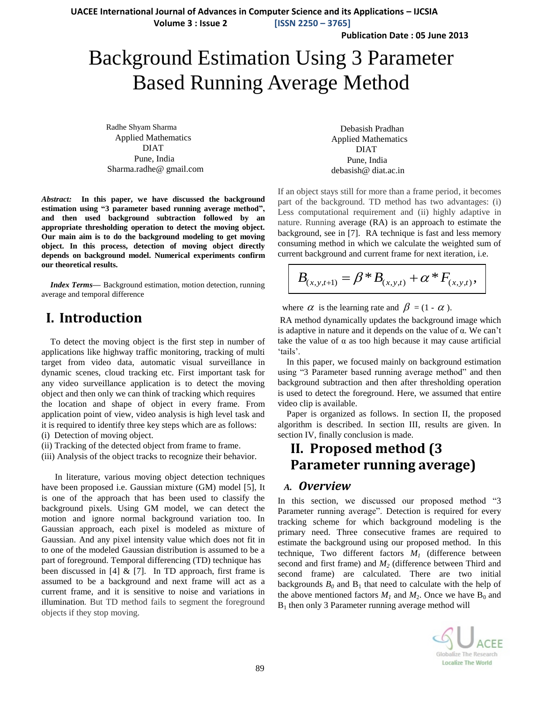**UACEE International Journal of Advances in Computer Science and its Applications – IJCSIA**

 **Volume 3 : Issue 2 [ISSN 2250 – 3765]**

**Publication Date : 05 June 2013**

# Background Estimation Using 3 Parameter Based Running Average Method

 Radhe Shyam Sharma Applied Mathematics DIAT Pune, India Sharma.radhe@ gmail.com

*Abstract:* **In this paper, we have discussed the background estimation using "3 parameter based running average method", and then used background subtraction followed by an appropriate thresholding operation to detect the moving object. Our main aim is to do the background modeling to get moving object. In this process, detection of moving object directly depends on background model. Numerical experiments confirm our theoretical results.**

*Index Terms***—** Background estimation, motion detection, running average and temporal difference

# **I. Introduction**

To detect the moving object is the first step in number of applications like highway traffic monitoring, tracking of multi target from video data, automatic visual surveillance in dynamic scenes, cloud tracking etc. First important task for any video surveillance application is to detect the moving object and then only we can think of tracking which requires the location and shape of object in every frame. From application point of view, video analysis is high level task and it is required to identify three key steps which are as follows: (i) Detection of moving object.

- (ii) Tracking of the detected object from frame to frame.
- (iii) Analysis of the object tracks to recognize their behavior.

 In literature, various moving object detection techniques have been proposed i.e. Gaussian mixture (GM) model [5], It is one of the approach that has been used to classify the background pixels. Using GM model, we can detect the motion and ignore normal background variation too. In Gaussian approach, each pixel is modeled as mixture of Gaussian. And any pixel intensity value which does not fit in to one of the modeled Gaussian distribution is assumed to be a part of foreground. Temporal differencing (TD) technique has been discussed in [4]  $&$  [7]. In TD approach, first frame is assumed to be a background and next frame will act as a current frame, and it is sensitive to noise and variations in illumination*.* But TD method fails to segment the foreground objects if they stop moving.

Debasish Pradhan Applied Mathematics DIAT Pune, India debasish@ diat.ac.in

If an object stays still for more than a frame period, it becomes part of the background. TD method has two advantages: (i) Less computational requirement and (ii) highly adaptive in nature. Running average (RA) is an approach to estimate the background, see in [7]. RA technique is fast and less memory consuming method in which we calculate the weighted sum of current background and current frame for next iteration, i.e.

$$
B_{(x,y,t+1)} = \beta * B_{(x,y,t)} + \alpha * F_{(x,y,t)},
$$

where  $\alpha$  is the learning rate and  $\beta = (1 - \alpha)$ .

RA method dynamically updates the background image which is adaptive in nature and it depends on the value of α. We can"t take the value of  $\alpha$  as too high because it may cause artificial 'tails'.

In this paper, we focused mainly on background estimation using "3 Parameter based running average method" and then background subtraction and then after thresholding operation is used to detect the foreground. Here, we assumed that entire video clip is available.

Paper is organized as follows. In section II, the proposed algorithm is described. In section III, results are given. In section IV, finally conclusion is made.

# **II. Proposed method (3 Parameter running average)**

### *A. Overview*

In this section, we discussed our proposed method "3 Parameter running average". Detection is required for every tracking scheme for which background modeling is the primary need. Three consecutive frames are required to estimate the background using our proposed method. In this technique, Two different factors *M<sup>1</sup>* (difference between second and first frame) and *M<sup>2</sup>* (difference between Third and second frame) are calculated. There are two initial backgrounds  $B_0$  and  $B_1$  that need to calculate with the help of the above mentioned factors  $M_1$  and  $M_2$ . Once we have  $B_0$  and  $B_1$  then only 3 Parameter running average method will

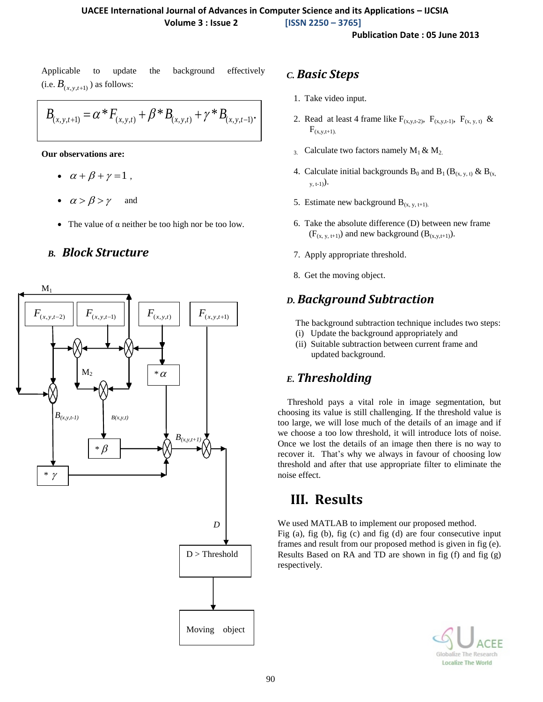**Publication Date : 05 June 2013**

Applicable to update the background effectively (i.e.  $B_{(x, y, t+1)}$ ) as follows:

$$
B_{(x,y,t+1)} = \alpha^* F_{(x,y,t)} + \beta^* B_{(x,y,t)} + \gamma^* B_{(x,y,t-1)}.
$$

**Our observations are:** 

- $\bullet$   $\alpha + \beta + \gamma = 1$ ,
- $\alpha > \beta > \gamma$  and
- The value of  $\alpha$  neither be too high nor be too low.

## *B. Block Structure*



### *C. Basic Steps*

- 1. Take video input.
- 2. Read at least 4 frame like  $F_{(x,y,t-2)}$ ,  $F_{(x,y,t-1)}$ ,  $F_{(x,y,t)}$  &  $F_{(x,y,t+1)}$ .
- 3. Calculate two factors namely  $M_1 \& M_2$ .
- 4. Calculate initial backgrounds  $B_0$  and  $B_1 (B_{(x, y, t)} \& B_{(x, t)})$  $_{y, t-1)}$ .
- 5. Estimate new background  $B_{(x, y, t+1)}$ .
- 6. Take the absolute difference (D) between new frame  $(F_{(x, y, t+1)})$  and new background  $(B_{(x, y, t+1)})$ .
- 7. Apply appropriate threshold.
- 8. Get the moving object.

## *D. Background Subtraction*

The background subtraction technique includes two steps:

- (i) Update the background appropriately and
- (ii) Suitable subtraction between current frame and updated background.

# *E. Thresholding*

Threshold pays a vital role in image segmentation, but choosing its value is still challenging. If the threshold value is too large, we will lose much of the details of an image and if we choose a too low threshold, it will introduce lots of noise. Once we lost the details of an image then there is no way to recover it. That"s why we always in favour of choosing low threshold and after that use appropriate filter to eliminate the noise effect.

# **III. Results**

We used MATLAB to implement our proposed method. Fig (a), fig (b), fig (c) and fig (d) are four consecutive input frames and result from our proposed method is given in fig (e). Results Based on RA and TD are shown in fig (f) and fig (g) respectively.

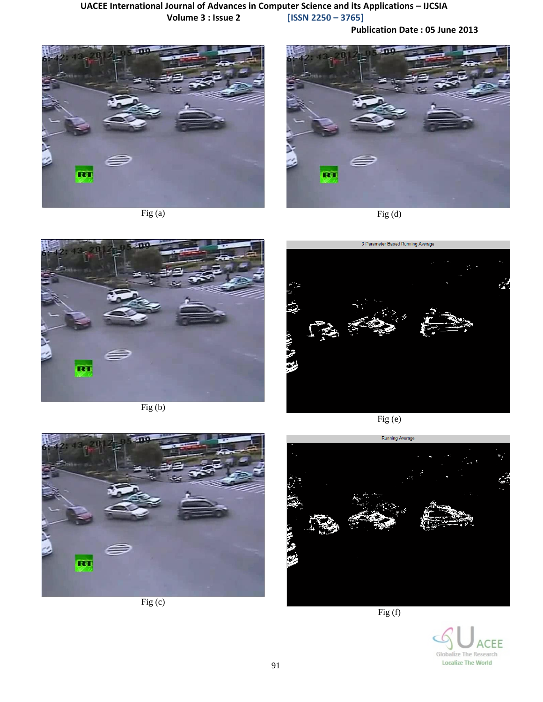### **UACEE International Journal of Advances in Computer Science and its Applications – IJCSIA Volume 3 : Issue 2 [ISSN 2250 – 3765]**

**Publication Date : 05 June 2013**



Fig (a)



Fig  $(d)$ 



Fig (b)



Fig (e)



Fig (c)



Fig (f)